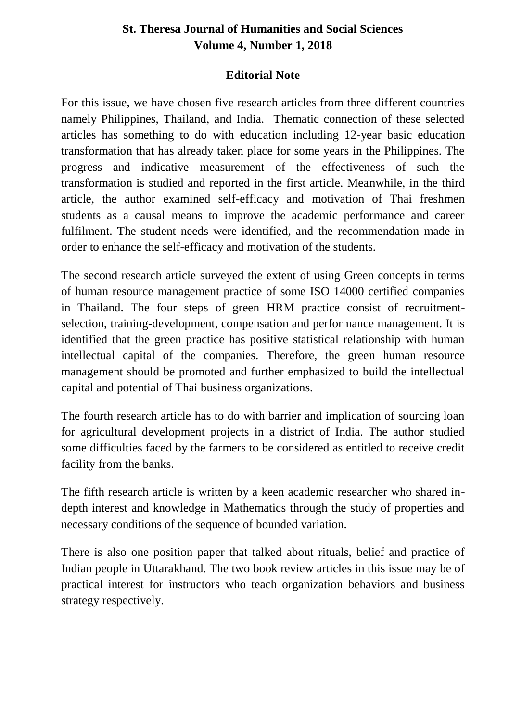## **St. Theresa Journal of Humanities and Social Sciences Volume 4, Number 1, 2018**

## **Editorial Note**

For this issue, we have chosen five research articles from three different countries namely Philippines, Thailand, and India. Thematic connection of these selected articles has something to do with education including 12-year basic education transformation that has already taken place for some years in the Philippines. The progress and indicative measurement of the effectiveness of such the transformation is studied and reported in the first article. Meanwhile, in the third article, the author examined self-efficacy and motivation of Thai freshmen students as a causal means to improve the academic performance and career fulfilment. The student needs were identified, and the recommendation made in order to enhance the self-efficacy and motivation of the students.

The second research article surveyed the extent of using Green concepts in terms of human resource management practice of some ISO 14000 certified companies in Thailand. The four steps of green HRM practice consist of recruitmentselection, training-development, compensation and performance management. It is identified that the green practice has positive statistical relationship with human intellectual capital of the companies. Therefore, the green human resource management should be promoted and further emphasized to build the intellectual capital and potential of Thai business organizations.

The fourth research article has to do with barrier and implication of sourcing loan for agricultural development projects in a district of India. The author studied some difficulties faced by the farmers to be considered as entitled to receive credit facility from the banks.

The fifth research article is written by a keen academic researcher who shared indepth interest and knowledge in Mathematics through the study of properties and necessary conditions of the sequence of bounded variation.

There is also one position paper that talked about rituals, belief and practice of Indian people in Uttarakhand. The two book review articles in this issue may be of practical interest for instructors who teach organization behaviors and business strategy respectively.